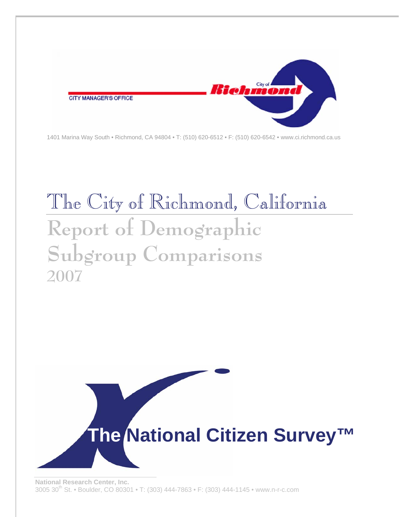

1401 Marina Way South • Richmond, CA 94804 • T: (510) 620-6512 • F: (510) 620-6542 • www.ci.richmond.ca.us

# The City of Richmond, California **Report of Demographic Subgroup Comparisons 2007**

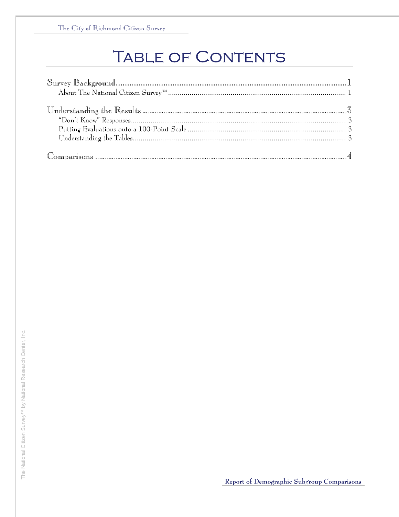# **TABLE OF CONTENTS**

| $\texttt{Sury Background}. \textcolor{black}{\textbf{Surgery}}$ |  |
|-----------------------------------------------------------------|--|
|                                                                 |  |
|                                                                 |  |
|                                                                 |  |
|                                                                 |  |
|                                                                 |  |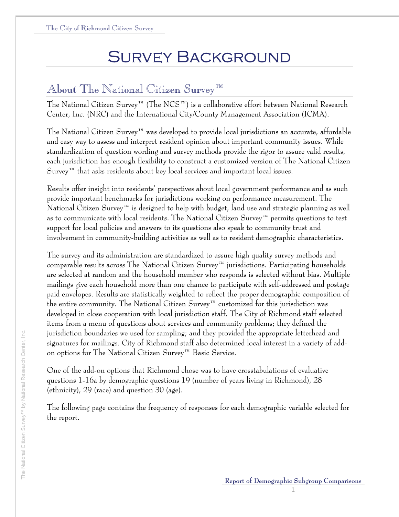# Survey Background

# About The National Citizen Survey™

The National Citizen Survey™ (The NCS™) is a collaborative effort between National Research Center, Inc. (NRC) and the International City/County Management Association (ICMA).

The National Citizen Survey™ was developed to provide local jurisdictions an accurate, affordable and easy way to assess and interpret resident opinion about important community issues. While standardization of question wording and survey methods provide the rigor to assure valid results, each jurisdiction has enough flexibility to construct a customized version of The National Citizen  $S$ urvey<sup>™</sup> that asks residents about key local services and important local issues.

Results offer insight into residents' perspectives about local government performance and as such provide important benchmarks for jurisdictions working on performance measurement. The National Citizen Survey™ is designed to help with budget, land use and strategic planning as well as to communicate with local residents. The National Citizen Survey™ permits questions to test support for local policies and answers to its questions also speak to community trust and involvement in community-building activities as well as to resident demographic characteristics.

The survey and its administration are standardized to assure high quality survey methods and comparable results across The National Citizen Survey™ jurisdictions. Participating households are selected at random and the household member who responds is selected without bias. Multiple mailings give each household more than one chance to participate with self-addressed and postage paid envelopes. Results are statistically weighted to reflect the proper demographic composition of the entire community. The National Citizen Survey™ customized for this jurisdiction was developed in close cooperation with local jurisdiction staff. The City of Richmond staff selected items from a menu of questions about services and community problems; they defined the jurisdiction boundaries we used for sampling; and they provided the appropriate letterhead and signatures for mailings. City of Richmond staff also determined local interest in a variety of addon options for The National Citizen Survey™ Basic Service.

One of the add-on options that Richmond chose was to have crosstabulations of evaluative questions 1-16a by demographic questions 19 (number of years living in Richmond), 28 (ethnicity), 29 (race) and question 30 (age).

The following page contains the frequency of responses for each demographic variable selected for the report.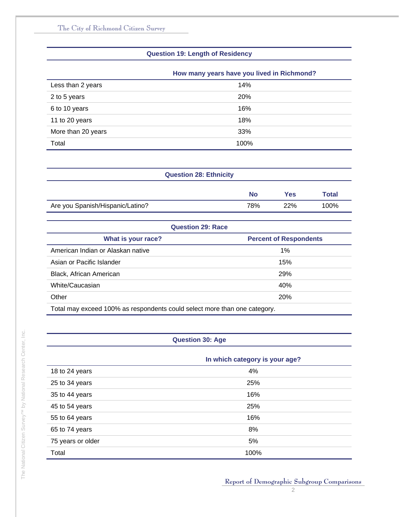#### **Question 19: Length of Residency**

|                    | How many years have you lived in Richmond? |
|--------------------|--------------------------------------------|
| Less than 2 years  | 14%                                        |
| 2 to 5 years       | <b>20%</b>                                 |
| 6 to 10 years      | 16%                                        |
| 11 to 20 years     | 18%                                        |
| More than 20 years | 33%                                        |
| Total              | 100%                                       |

| <b>Question 28: Ethnicity</b>    |           |     |       |
|----------------------------------|-----------|-----|-------|
|                                  | <b>No</b> | Yes | Total |
| Are you Spanish/Hispanic/Latino? | 78%       | 22% | 100%  |

|                                                                           | <b>Question 29: Race</b>      |
|---------------------------------------------------------------------------|-------------------------------|
| What is your race?                                                        | <b>Percent of Respondents</b> |
| American Indian or Alaskan native                                         | $1\%$                         |
| Asian or Pacific Islander                                                 | 15%                           |
| Black, African American                                                   | <b>29%</b>                    |
| White/Caucasian                                                           | 40%                           |
| Other                                                                     | 20%                           |
| Total may exceed 100% as respondents could select more than one category. |                               |

#### **Question 30: Age**

|                   | In which category is your age? |
|-------------------|--------------------------------|
| 18 to 24 years    | 4%                             |
| 25 to 34 years    | 25%                            |
| 35 to 44 years    | 16%                            |
| 45 to 54 years    | 25%                            |
| 55 to 64 years    | 16%                            |
| 65 to 74 years    | 8%                             |
| 75 years or older | 5%                             |
| Total             | 100%                           |

The National Citizen Survey™ by National Research Center, Inc.

The National Citizen Survey<sup>TM</sup> by National Research Center, Inc.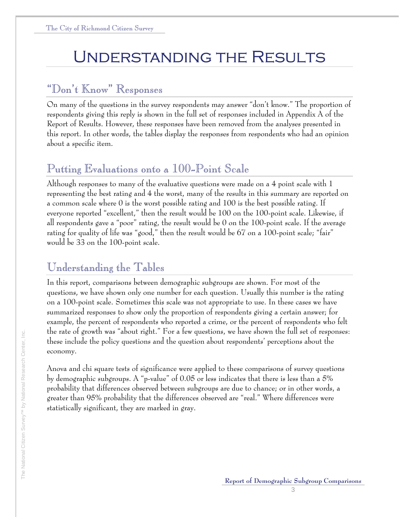# Understanding the Results

### "Don't Know" Responses

On many of the questions in the survey respondents may answer "don't know." The proportion of respondents giving this reply is shown in the full set of responses included in Appendix A of the Report of Results. However, these responses have been removed from the analyses presented in this report. In other words, the tables display the responses from respondents who had an opinion about a specific item.

# Putting Evaluations onto a 100-Point Scale

Although responses to many of the evaluative questions were made on a 4 point scale with 1 representing the best rating and 4 the worst, many of the results in this summary are reported on a common scale where 0 is the worst possible rating and 100 is the best possible rating. If everyone reported "excellent," then the result would be 100 on the 100-point scale. Likewise, if all respondents gave a "poor" rating, the result would be 0 on the 100-point scale. If the average rating for quality of life was "good," then the result would be 67 on a 100-point scale; "fair" would be 33 on the 100-point scale.

### Understanding the Tables

In this report, comparisons between demographic subgroups are shown. For most of the questions, we have shown only one number for each question. Usually this number is the rating on a 100-point scale. Sometimes this scale was not appropriate to use. In these cases we have summarized responses to show only the proportion of respondents giving a certain answer; for example, the percent of respondents who reported a crime, or the percent of respondents who felt the rate of growth was "about right." For a few questions, we have shown the full set of responses: these include the policy questions and the question about respondents' perceptions about the economy.

Anova and chi square tests of significance were applied to these comparisons of survey questions by demographic subgroups. A "p-value" of 0.05 or less indicates that there is less than a 5% probability that differences observed between subgroups are due to chance; or in other words, a greater than 95% probability that the differences observed are "real." Where differences were statistically significant, they are marked in gray.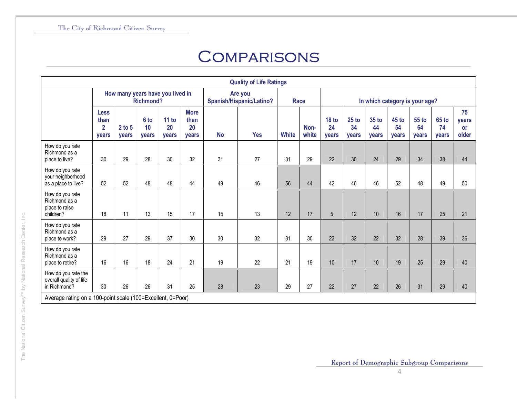# **COMPARISONS**

|                                                                 |                                                |                   |                                |                                  |                                           |           | <b>Quality of Life Ratings</b>      |              |               |                                |                        |                      |                               |                             |                             |                            |  |  |
|-----------------------------------------------------------------|------------------------------------------------|-------------------|--------------------------------|----------------------------------|-------------------------------------------|-----------|-------------------------------------|--------------|---------------|--------------------------------|------------------------|----------------------|-------------------------------|-----------------------------|-----------------------------|----------------------------|--|--|
|                                                                 |                                                |                   | <b>Richmond?</b>               | How many years have you lived in |                                           |           | Are you<br>Spanish/Hispanic/Latino? |              | Race          | In which category is your age? |                        |                      |                               |                             |                             |                            |  |  |
|                                                                 | <b>Less</b><br>than<br>$\overline{2}$<br>years | $2$ to 5<br>years | 6 <sub>to</sub><br>10<br>years | 11 to<br>20<br>years             | <b>More</b><br>than<br>20<br><b>vears</b> | <b>No</b> | <b>Yes</b>                          | <b>White</b> | Non-<br>white | <b>18 to</b><br>24<br>years    | $25$ to<br>34<br>years | 35 to<br>44<br>years | $45$ to<br>54<br><b>vears</b> | 55 to<br>64<br><b>vears</b> | <b>65 to</b><br>74<br>years | 75<br>vears<br>or<br>older |  |  |
| How do you rate<br>Richmond as a<br>place to live?              | 30                                             | 29                | 28                             | 30                               | 32                                        | 31        | 27                                  | 31           | 29            | 22                             | 30                     | 24                   | 29                            | 34                          | 38                          | 44                         |  |  |
| How do you rate<br>your neighborhood<br>as a place to live?     | 52                                             | 52                | 48                             | 48                               | 44                                        | 49        | 46                                  | 56           | 44            | 42                             | 46                     | 46                   | 52                            | 48                          | 49                          | 50                         |  |  |
| How do you rate<br>Richmond as a<br>place to raise<br>children? | 18                                             | 11                | 13                             | 15                               | 17                                        | 15        | 13                                  | 12           | 17            | 5                              | 12                     | 10                   | 16                            | 17                          | 25                          | 21                         |  |  |
| How do you rate<br>Richmond as a<br>place to work?              | 29                                             | 27                | 29                             | 37                               | 30                                        | 30        | 32                                  | 31           | 30            | 23                             | 32                     | 22                   | 32                            | 28                          | 39                          | 36                         |  |  |
| How do you rate<br>Richmond as a<br>place to retire?            | 16                                             | 16                | 18                             | 24                               | 21                                        | 19        | 22                                  | 21           | 19            | 10                             | 17                     | 10                   | 19                            | 25                          | 29                          | 40                         |  |  |
| How do you rate the<br>overall quality of life<br>in Richmond?  | 30                                             | 26                | 26                             | 31                               | 25                                        | 28        | 23                                  | 29           | 27            | 22                             | 27                     | 22                   | 26                            | 31                          | 29                          | 40                         |  |  |
| Average rating on a 100-point scale (100=Excellent, 0=Poor)     |                                                |                   |                                |                                  |                                           |           |                                     |              |               |                                |                        |                      |                               |                             |                             |                            |  |  |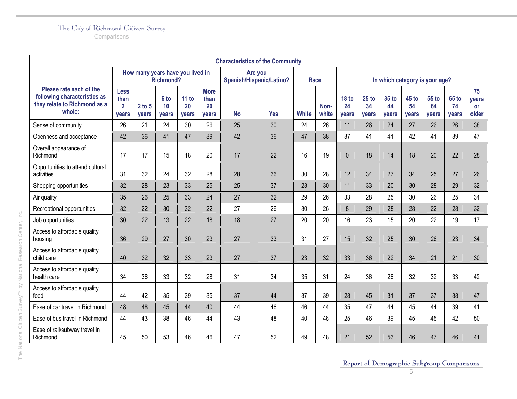**Comparisons** 

The National Citizen Survey™ by National Research Center, Inc.

The National Citizen Survey<sup>TM</sup> by National Research Center, Inc.

|                                                                                                   |                                                       |                                  |                     |                      |                                    |           | <b>Characteristics of the Community</b> |              |               |                                 |                        |                      |                                |                      |                             |                                   |
|---------------------------------------------------------------------------------------------------|-------------------------------------------------------|----------------------------------|---------------------|----------------------|------------------------------------|-----------|-----------------------------------------|--------------|---------------|---------------------------------|------------------------|----------------------|--------------------------------|----------------------|-----------------------------|-----------------------------------|
|                                                                                                   |                                                       | How many years have you lived in | <b>Richmond?</b>    |                      |                                    |           | Are you<br>Spanish/Hispanic/Latino?     |              | <b>Race</b>   |                                 |                        |                      | In which category is your age? |                      |                             |                                   |
| Please rate each of the<br>following characteristics as<br>they relate to Richmond as a<br>whole: | <b>Less</b><br>than<br>$\overline{2}$<br><b>vears</b> | $2$ to $5$<br>vears              | 6 to<br>10<br>years | 11 to<br>20<br>years | <b>More</b><br>than<br>20<br>years | <b>No</b> | <b>Yes</b>                              | <b>White</b> | Non-<br>white | 18 <sub>to</sub><br>24<br>years | $25$ to<br>34<br>years | 35 to<br>44<br>years | <b>45 to</b><br>54<br>years    | 55 to<br>64<br>years | <b>65 to</b><br>74<br>vears | 75<br>years<br><b>or</b><br>older |
| Sense of community                                                                                | 26                                                    | 21                               | 24                  | 30                   | 26                                 | 25        | 30                                      | 24           | 26            | 11                              | 26                     | 24                   | 27                             | 26                   | 26                          | 38                                |
| Openness and acceptance                                                                           | 42                                                    | 36                               | 41                  | 47                   | 39                                 | 42        | 36                                      | 47           | 38            | 37                              | 41                     | 41                   | 42                             | 41                   | 39                          | 47                                |
| Overall appearance of<br>Richmond                                                                 | 17                                                    | 17                               | 15                  | 18                   | 20                                 | 17        | 22                                      | 16           | 19            | $\mathbf{0}$                    | 18                     | 14                   | 18                             | 20                   | 22                          | 28                                |
| Opportunities to attend cultural<br>activities                                                    | 31                                                    | 32                               | 24                  | 32                   | 28                                 | 28        | 36                                      | 30           | 28            | 12                              | 34                     | 27                   | 34                             | 25                   | 27                          | 26                                |
| Shopping opportunities                                                                            | 32                                                    | 28                               | 23                  | 33                   | 25                                 | 25        | 37                                      | 23           | 30            | 11                              | 33                     | 20                   | 30                             | 28                   | 29                          | 32                                |
| Air quality                                                                                       | 35                                                    | 26                               | 25                  | 33                   | 24                                 | 27        | 32                                      | 29           | 26            | 33                              | 28                     | 25                   | 30                             | 26                   | 25                          | 34                                |
| Recreational opportunities                                                                        | 32                                                    | 22                               | 30                  | 32                   | 22                                 | 27        | 26                                      | 30           | 26            | 8                               | 29                     | 28                   | 28                             | 22                   | 28                          | 32                                |
| Job opportunities                                                                                 | 30                                                    | 22                               | 13                  | 22                   | 18                                 | 18        | 27                                      | 20           | 20            | 16                              | 23                     | 15                   | 20                             | 22                   | 19                          | 17                                |
| Access to affordable quality<br>housing                                                           | 36                                                    | 29                               | 27                  | 30                   | 23                                 | 27        | 33                                      | 31           | 27            | 15                              | 32                     | 25                   | 30                             | 26                   | 23                          | 34                                |
| Access to affordable quality<br>child care                                                        | 40                                                    | 32                               | 32                  | 33                   | 23                                 | 27        | 37                                      | 23           | 32            | 33                              | 36                     | 22                   | 34                             | 21                   | 21                          | 30                                |
| Access to affordable quality<br>health care                                                       | 34                                                    | 36                               | 33                  | 32                   | 28                                 | 31        | 34                                      | 35           | 31            | 24                              | 36                     | 26                   | 32                             | 32                   | 33                          | 42                                |
| Access to affordable quality<br>food                                                              | 44                                                    | 42                               | 35                  | 39                   | 35                                 | 37        | 44                                      | 37           | 39            | 28                              | 45                     | 31                   | 37                             | 37                   | 38                          | 47                                |
| Ease of car travel in Richmond                                                                    | 48                                                    | 48                               | 45                  | 44                   | 40                                 | 44        | 46                                      | 46           | 44            | 35                              | 47                     | 44                   | 45                             | 44                   | 39                          | 41                                |
| Ease of bus travel in Richmond                                                                    | 44                                                    | 43                               | 38                  | 46                   | 44                                 | 43        | 48                                      | 40           | 46            | 25                              | 46                     | 39                   | 45                             | 45                   | 42                          | 50                                |
| Ease of rail/subway travel in<br>Richmond                                                         | 45                                                    | 50                               | 53                  | 46                   | 46                                 | 47        | 52                                      | 49           | 48            | 21                              | 52                     | 53                   | 46                             | 47                   | 46                          | 41                                |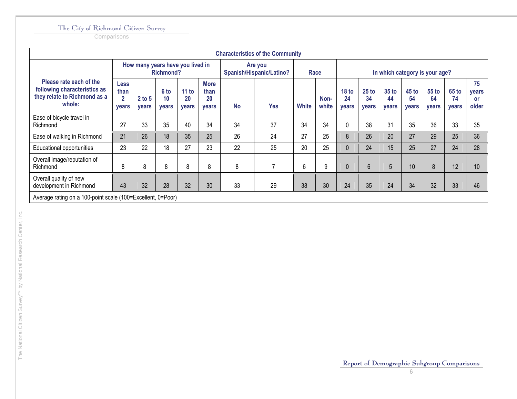|                                                                                                   |                                                       |                   |                     |                                  |                                           |                                     | <b>Characteristics of the Community</b> |              |               |                                 |                                 |                                 |                                 |                      |                        |                                   |  |  |
|---------------------------------------------------------------------------------------------------|-------------------------------------------------------|-------------------|---------------------|----------------------------------|-------------------------------------------|-------------------------------------|-----------------------------------------|--------------|---------------|---------------------------------|---------------------------------|---------------------------------|---------------------------------|----------------------|------------------------|-----------------------------------|--|--|
|                                                                                                   |                                                       |                   | <b>Richmond?</b>    | How many years have you lived in |                                           | Are you<br>Spanish/Hispanic/Latino? |                                         |              | Race          |                                 | In which category is your age?  |                                 |                                 |                      |                        |                                   |  |  |
| Please rate each of the<br>following characteristics as<br>they relate to Richmond as a<br>whole: | <b>Less</b><br>than<br>$\overline{2}$<br><b>vears</b> | $2$ to 5<br>years | 6 to<br>10<br>years | 11 to<br>20<br>years             | <b>More</b><br>than<br>20<br><b>vears</b> | <b>No</b>                           | <b>Yes</b>                              | <b>White</b> | Non-<br>white | 18 <sub>to</sub><br>24<br>years | 25 <sub>to</sub><br>34<br>years | 35 <sub>to</sub><br>44<br>years | 45 <sub>to</sub><br>54<br>years | 55 to<br>64<br>years | $65$ to<br>74<br>years | 75<br>years<br><b>or</b><br>older |  |  |
| Ease of bicycle travel in<br>Richmond                                                             | 27                                                    | 33                | 35                  | 40                               | 34                                        | 34                                  | 37                                      | 34           | 34            | 0                               | 38                              | 31                              | 35                              | 36                   | 33                     | 35                                |  |  |
| Ease of walking in Richmond                                                                       | 21                                                    | 26                | 18                  | 35                               | 25                                        | 26                                  | 24                                      | 27           | 25            | 8                               | 26                              | 20                              | 27                              | 29                   | 25                     | 36                                |  |  |
| <b>Educational opportunities</b>                                                                  | 23                                                    | 22                | 18                  | 27                               | 23                                        | 22                                  | 25                                      | 20           | 25            | $\Omega$                        | 24                              | 15                              | 25                              | 27                   | 24                     | 28                                |  |  |
| Overall image/reputation of<br>Richmond                                                           | 8                                                     | 8                 | 8                   | 8                                | 8                                         | 8                                   | 7                                       | 6            | 9             | $\mathbf 0$                     | $6\phantom{1}$                  | 5                               | 10                              | 8                    | 12                     | 10                                |  |  |
| Overall quality of new<br>development in Richmond                                                 | 43                                                    | 32                | 28                  | 32                               | 30                                        | 33                                  | 29                                      | 38           | 30            | 24                              | 35                              | 24                              | 34                              | 32                   | 33                     | 46                                |  |  |
| Average rating on a 100-point scale (100=Excellent, 0=Poor)                                       |                                                       |                   |                     |                                  |                                           |                                     |                                         |              |               |                                 |                                 |                                 |                                 |                      |                        |                                   |  |  |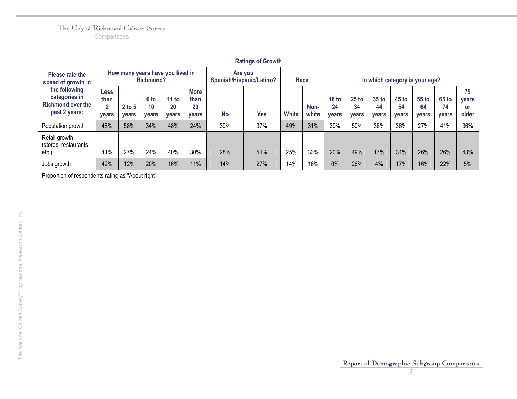**Comparisons** 

|                                                                             |                                   |                          |                            |                                  |                                           |                                     | <b>Ratings of Growth</b>       |              |               |                                 |                               |                             |                             |                               |                             |                                   |
|-----------------------------------------------------------------------------|-----------------------------------|--------------------------|----------------------------|----------------------------------|-------------------------------------------|-------------------------------------|--------------------------------|--------------|---------------|---------------------------------|-------------------------------|-----------------------------|-----------------------------|-------------------------------|-----------------------------|-----------------------------------|
| Please rate the<br>speed of growth in                                       |                                   |                          | Richmond?                  | How many years have you lived in |                                           | Are you<br>Spanish/Hispanic/Latino? | In which category is your age? |              |               |                                 |                               |                             |                             |                               |                             |                                   |
| the following<br>categories in<br><b>Richmond over the</b><br>past 2 years: | Less<br>than<br>2<br><b>vears</b> | $2$ to 5<br><b>vears</b> | 6 to<br>10<br><b>vears</b> | 11 to<br>20<br><b>vears</b>      | <b>More</b><br>than<br>20<br><b>vears</b> | <b>No</b>                           | <b>Yes</b>                     | <b>White</b> | Non-<br>white | 18 <sub>to</sub><br>24<br>vears | $25$ to<br>34<br><b>vears</b> | 35 to<br>44<br><b>vears</b> | 45 to<br>54<br><b>vears</b> | $55$ to<br>64<br><b>vears</b> | 65 to<br>74<br><b>vears</b> | 75<br>years<br><b>or</b><br>older |
| Population growth                                                           | 48%                               | 58%                      | 34%                        | 48%                              | 24%                                       | 39%                                 | 37%                            | 49%          | 31%           | 39%                             | 50%                           | 36%                         | 36%                         | 27%                           | 41%                         | 36%                               |
| Retail growth<br>(stores, restaurants)<br>etc.)                             | 41%                               | 27%                      | 24%                        | 40%                              | 30%                                       | 28%                                 | 51%                            | 25%          | 33%           | 20%                             | 49%                           | 17%                         | 31%                         | 26%                           | 26%                         | 43%                               |
| Jobs growth                                                                 | 42%                               | 12%                      | 20%                        | 16%                              | 11%                                       | 14%                                 | 27%                            | 14%          | 16%           | 0%                              | 26%                           | 4%                          | 17%                         | 16%                           | 22%                         | 5%                                |
| Proportion of respondents rating as "About right"                           |                                   |                          |                            |                                  |                                           |                                     |                                |              |               |                                 |                               |                             |                             |                               |                             |                                   |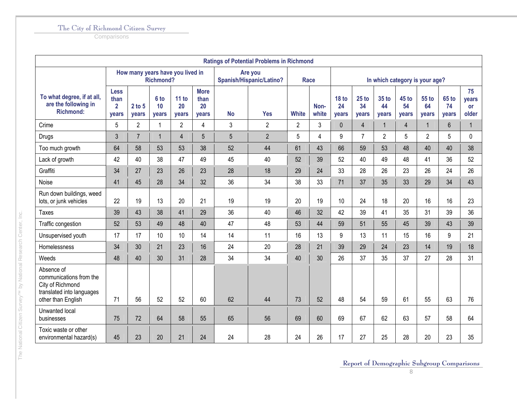**Comparisons** 

|                                                                                                              |                                                |                 |                     |                                  |                                    |           | <b>Ratings of Potential Problems in Richmond</b> |                |                |                                |                        |                      |                      |                      |                      |                                   |  |
|--------------------------------------------------------------------------------------------------------------|------------------------------------------------|-----------------|---------------------|----------------------------------|------------------------------------|-----------|--------------------------------------------------|----------------|----------------|--------------------------------|------------------------|----------------------|----------------------|----------------------|----------------------|-----------------------------------|--|
|                                                                                                              |                                                |                 | <b>Richmond?</b>    | How many years have you lived in |                                    |           | Are you<br>Spanish/Hispanic/Latino?              |                | <b>Race</b>    | In which category is your age? |                        |                      |                      |                      |                      |                                   |  |
| To what degree, if at all,<br>are the following in<br><b>Richmond:</b>                                       | <b>Less</b><br>than<br>$\overline{2}$<br>years | 2 to 5<br>years | 6 to<br>10<br>years | 11 to<br>20<br><b>vears</b>      | <b>More</b><br>than<br>20<br>years | <b>No</b> | <b>Yes</b>                                       | <b>White</b>   | Non-<br>white  | <b>18 to</b><br>24<br>years    | $25$ to<br>34<br>years | 35 to<br>44<br>vears | 45 to<br>54<br>years | 55 to<br>64<br>years | 65 to<br>74<br>years | 75<br>years<br><b>or</b><br>older |  |
| Crime                                                                                                        | 5                                              | $\overline{2}$  | 1                   | $\mathbf{2}$                     | $\overline{\mathbf{4}}$            | 3         | $\overline{2}$                                   | $\overline{2}$ | 3              | $\mathbf 0$                    | $\overline{4}$         | $\mathbf{1}$         | $\overline{4}$       | $\mathbf{1}$         | $6\phantom{a}$       | $\mathbf 1$                       |  |
| <b>Drugs</b>                                                                                                 | 3                                              | $\overline{7}$  | 1                   | $\overline{4}$                   | 5                                  | 5         | $\overline{2}$                                   | 5              | $\overline{4}$ | 9                              | $\overline{7}$         | $\overline{2}$       | 5                    | $\overline{2}$       | 5                    | 0                                 |  |
| Too much growth                                                                                              | 64                                             | 58              | 53                  | 53                               | 38                                 | 52        | 44                                               | 61             | 43             | 66                             | 59                     | 53                   | 48                   | 40                   | 40                   | 38                                |  |
| Lack of growth                                                                                               | 42                                             | 40              | 38                  | 47                               | 49                                 | 45        | 40                                               | 52             | 39             | 52                             | 40                     | 49                   | 48                   | 41                   | 36                   | 52                                |  |
| Graffiti                                                                                                     | 34                                             | 27              | 23                  | 26                               | 23                                 | 28        | 18                                               | 29             | 24             | 33                             | 28                     | 26                   | 23                   | 26                   | 24                   | 26                                |  |
| Noise                                                                                                        | 41                                             | 45              | 28                  | 34                               | 32                                 | 36        | 34                                               | 38             | 33             | 71                             | 37                     | 35                   | 33                   | 29                   | 34                   | 43                                |  |
| Run down buildings, weed<br>lots, or junk vehicles                                                           | 22                                             | 19              | 13                  | 20                               | 21                                 | 19        | 19                                               | 20             | 19             | 10                             | 24                     | 18                   | 20                   | 16                   | 16                   | 23                                |  |
| <b>Taxes</b>                                                                                                 | 39                                             | 43              | 38                  | 41                               | 29                                 | 36        | 40                                               | 46             | 32             | 42                             | 39                     | 41                   | 35                   | 31                   | 39                   | 36                                |  |
| Traffic congestion                                                                                           | 52                                             | 53              | 49                  | 48                               | 40                                 | 47        | 48                                               | 53             | 44             | 59                             | 51                     | 55                   | 45                   | 39                   | 43                   | 39                                |  |
| Unsupervised youth                                                                                           | 17                                             | 17              | 10                  | 10                               | 14                                 | 14        | 11                                               | 16             | 13             | 9                              | 13                     | 11                   | 15                   | 16                   | 9                    | 21                                |  |
| Homelessness                                                                                                 | 34                                             | 30              | 21                  | 23                               | 16                                 | 24        | 20                                               | 28             | 21             | 39                             | 29                     | 24                   | 23                   | 14                   | 19                   | 18                                |  |
| Weeds                                                                                                        | 48                                             | 40              | 30                  | 31                               | 28                                 | 34        | 34                                               | 40             | 30             | 26                             | 37                     | 35                   | 37                   | 27                   | 28                   | 31                                |  |
| Absence of<br>communications from the<br>City of Richmond<br>translated into languages<br>other than English | 71                                             | 56              | 52                  | 52                               | 60                                 | 62        | 44                                               | 73             | 52             | 48                             | 54                     | 59                   | 61                   | 55                   | 63                   | 76                                |  |
| Unwanted local<br>businesses                                                                                 | 75                                             | 72              | 64                  | 58                               | 55                                 | 65        | 56                                               | 69             | 60             | 69                             | 67                     | 62                   | 63                   | 57                   | 58                   | 64                                |  |
| Toxic waste or other<br>environmental hazard(s)                                                              | 45                                             | 23              | 20                  | 21                               | 24                                 | 24        | 28                                               | 24             | 26             | 17                             | 27                     | 25                   | 28                   | 20                   | 23                   | 35                                |  |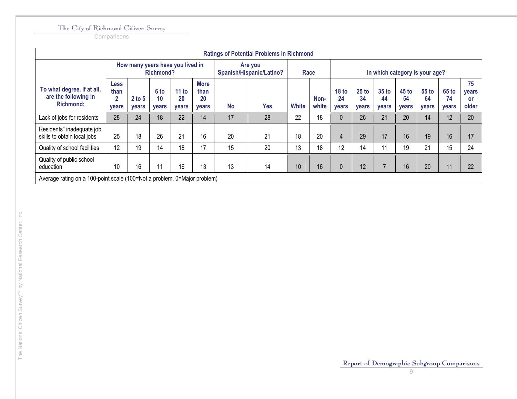|                                                                          | <b>Ratings of Potential Problems in Richmond</b>               |                                  |                            |                      |                                           |           |                                     |              |               |                                        |                                        |                                 |                                 |                      |                             |                                   |  |
|--------------------------------------------------------------------------|----------------------------------------------------------------|----------------------------------|----------------------------|----------------------|-------------------------------------------|-----------|-------------------------------------|--------------|---------------|----------------------------------------|----------------------------------------|---------------------------------|---------------------------------|----------------------|-----------------------------|-----------------------------------|--|
|                                                                          |                                                                | How many years have you lived in | <b>Richmond?</b>           |                      |                                           |           | Are you<br>Spanish/Hispanic/Latino? |              | Race          | In which category is your age?         |                                        |                                 |                                 |                      |                             |                                   |  |
| To what degree, if at all,<br>are the following in<br><b>Richmond:</b>   | <b>Less</b><br>than<br>$\overline{\mathbf{2}}$<br><b>vears</b> | $2$ to 5<br><b>vears</b>         | 6 to<br>10<br><b>vears</b> | 11 to<br>20<br>years | <b>More</b><br>than<br>20<br><b>vears</b> | <b>No</b> | <b>Yes</b>                          | <b>White</b> | Non-<br>white | 18 <sub>to</sub><br>24<br><b>vears</b> | 25 <sub>to</sub><br>34<br><b>vears</b> | 35 <sub>to</sub><br>44<br>years | 45 <sub>to</sub><br>54<br>years | 55 to<br>64<br>vears | 65 to<br>74<br><b>vears</b> | 75<br><b>vears</b><br>or<br>older |  |
| Lack of jobs for residents                                               | 28                                                             | 24                               | 18                         | 22                   | 14                                        | 17        | 28                                  | 22           | 18            | $\Omega$                               | 26                                     | 21                              | 20                              | 14                   | 12                          | 20                                |  |
| Residents" inadequate job<br>skills to obtain local jobs                 | 25                                                             | 18                               | 26                         | 21                   | 16                                        | 20        | 21                                  | 18           | 20            | 4                                      | 29                                     | 17                              | 16                              | 19                   | 16                          | 17                                |  |
| Quality of school facilities                                             | 12                                                             | 19                               | 14                         | 18                   | 17                                        | 15        | 20                                  | 13           | 18            | 12                                     | 14                                     | 11                              | 19                              | 21                   | 15                          | 24                                |  |
| Quality of public school<br>education                                    | 10                                                             | 16                               |                            | 16                   | 13                                        | 13        | 14                                  | 10           | 16            | $\mathbf{0}$                           | 12                                     | $\overline{7}$                  | 16                              | 20                   | 11                          | 22                                |  |
| Average rating on a 100-point scale (100=Not a problem, 0=Major problem) |                                                                |                                  |                            |                      |                                           |           |                                     |              |               |                                        |                                        |                                 |                                 |                      |                             |                                   |  |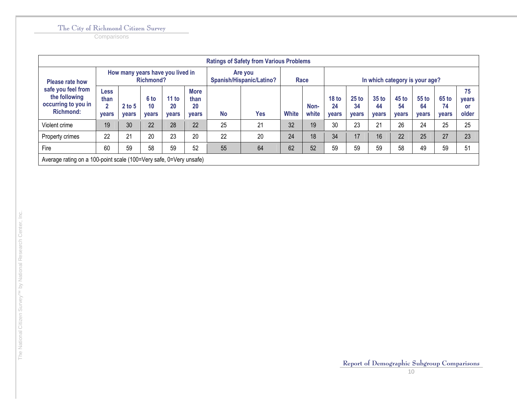|                                                                                |                                                                    |                          |                            |                                  |                                           |           | <b>Ratings of Safety from Various Problems</b> |              |               |                                        |                               |                                        |                                    |                                |                             |                                          |
|--------------------------------------------------------------------------------|--------------------------------------------------------------------|--------------------------|----------------------------|----------------------------------|-------------------------------------------|-----------|------------------------------------------------|--------------|---------------|----------------------------------------|-------------------------------|----------------------------------------|------------------------------------|--------------------------------|-----------------------------|------------------------------------------|
| <b>Please rate how</b>                                                         |                                                                    |                          | <b>Richmond?</b>           | How many years have you lived in |                                           |           | Are you<br>Spanish/Hispanic/Latino?            |              | Race          |                                        |                               |                                        |                                    | In which category is your age? |                             |                                          |
| safe you feel from<br>the following<br>occurring to you in<br><b>Richmond:</b> | <b>Less</b><br>than<br>n<br><b>vears</b>                           | $2$ to 5<br><b>vears</b> | 6 to<br>10<br><b>vears</b> | 11 to<br>20<br><b>vears</b>      | <b>More</b><br>than<br>20<br><b>vears</b> | <b>No</b> | <b>Yes</b>                                     | <b>White</b> | Non-<br>white | 18 <sub>to</sub><br>24<br><b>vears</b> | $25$ to<br>34<br><b>vears</b> | 35 <sub>to</sub><br>44<br><b>vears</b> | <b>45 to</b><br>54<br><b>vears</b> | 55 to<br>64<br><b>vears</b>    | 65 to<br>74<br><b>vears</b> | 75<br><b>vears</b><br><b>or</b><br>older |
| Violent crime                                                                  | 19                                                                 | 30                       | 22                         | 28                               | 22                                        | 25        | 21                                             | 32           | 19            | 30                                     | 23                            | 21                                     | 26                                 | 24                             | 25                          | 25                                       |
| Property crimes                                                                | 22                                                                 | 21                       | 20                         | 23                               | 20                                        | 22        | 20                                             | 24           | 18            | 34                                     | 17                            | 16                                     | 22                                 | 25                             | 27                          | 23                                       |
| Fire                                                                           | 60                                                                 | 59                       | 58                         | 59                               | 52                                        | 55        | 64                                             | 62           | 52            | 59                                     | 59                            | 59                                     | 58                                 | 49                             | 59                          | 51                                       |
|                                                                                | Average rating on a 100-point scale (100=Very safe, 0=Very unsafe) |                          |                            |                                  |                                           |           |                                                |              |               |                                        |                               |                                        |                                    |                                |                             |                                          |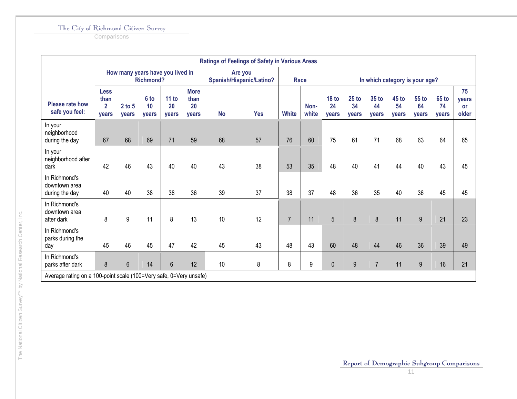**Comparisons** 

|                                                                    |                                                       |                   |                            |                                  |                                    |           | <b>Ratings of Feelings of Safety in Various Areas</b> |                |               |                                 |                               |                      |                                |                      |                             |                                   |
|--------------------------------------------------------------------|-------------------------------------------------------|-------------------|----------------------------|----------------------------------|------------------------------------|-----------|-------------------------------------------------------|----------------|---------------|---------------------------------|-------------------------------|----------------------|--------------------------------|----------------------|-----------------------------|-----------------------------------|
|                                                                    |                                                       |                   | <b>Richmond?</b>           | How many years have you lived in |                                    |           | Are you<br>Spanish/Hispanic/Latino?                   |                | <b>Race</b>   |                                 |                               |                      | In which category is your age? |                      |                             |                                   |
| <b>Please rate how</b><br>safe you feel:                           | <b>Less</b><br>than<br>$\overline{2}$<br><b>vears</b> | $2$ to 5<br>years | 6 to<br>10<br><b>vears</b> | 11 to<br>20<br>years             | <b>More</b><br>than<br>20<br>years | <b>No</b> | <b>Yes</b>                                            | <b>White</b>   | Non-<br>white | 18 <sub>to</sub><br>24<br>years | $25$ to<br>34<br><b>vears</b> | 35 to<br>44<br>years | 45 to<br>54<br>vears           | 55 to<br>64<br>vears | <b>65 to</b><br>74<br>years | 75<br>years<br><b>or</b><br>older |
| In your<br>neighborhood<br>during the day                          | 67                                                    | 68                | 69                         | 71                               | 59                                 | 68        | 57                                                    | 76             | 60            | 75                              | 61                            | 71                   | 68                             | 63                   | 64                          | 65                                |
| In your<br>neighborhood after<br>dark                              | 42                                                    | 46                | 43                         | 40                               | 40                                 | 43        | 38                                                    | 53             | 35            | 48                              | 40                            | 41                   | 44                             | 40                   | 43                          | 45                                |
| In Richmond's<br>downtown area<br>during the day                   | 40                                                    | 40                | 38                         | 38                               | 36                                 | 39        | 37                                                    | 38             | 37            | 48                              | 36                            | 35                   | 40                             | 36                   | 45                          | 45                                |
| In Richmond's<br>downtown area<br>after dark                       | 8                                                     | 9                 | 11                         | 8                                | 13                                 | 10        | 12                                                    | $\overline{7}$ | 11            | 5                               | 8                             | 8                    | 11                             | 9                    | 21                          | 23                                |
| In Richmond's<br>parks during the<br>day                           | 45                                                    | 46                | 45                         | 47                               | 42                                 | 45        | 43                                                    | 48             | 43            | 60                              | 48                            | 44                   | 46                             | 36                   | 39                          | 49                                |
| In Richmond's<br>parks after dark                                  | 8                                                     | 6                 | 14                         | 6                                | 12                                 | 10        | 8                                                     | 8              | 9             | $\mathbf 0$                     | $9\,$                         | $\overline{7}$       | 11                             | 9                    | 16                          | 21                                |
| Average rating on a 100-point scale (100=Very safe, 0=Very unsafe) |                                                       |                   |                            |                                  |                                    |           |                                                       |                |               |                                 |                               |                      |                                |                      |                             |                                   |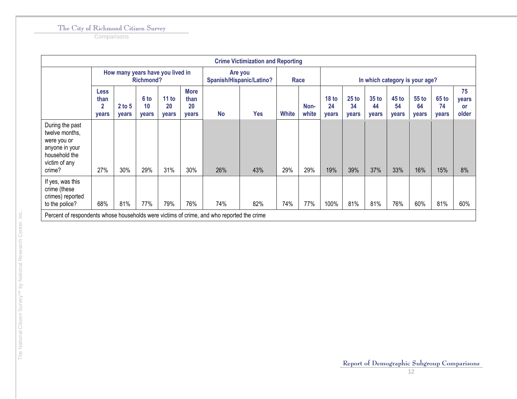**Comparisons** 

|                                                                                                                |                                              |                                  |                     |                      |                                    |           | <b>Crime Victimization and Reporting</b> |              |               |                                 |                                 |                                 |                                 |                        |                      |                            |
|----------------------------------------------------------------------------------------------------------------|----------------------------------------------|----------------------------------|---------------------|----------------------|------------------------------------|-----------|------------------------------------------|--------------|---------------|---------------------------------|---------------------------------|---------------------------------|---------------------------------|------------------------|----------------------|----------------------------|
|                                                                                                                |                                              | How many years have you lived in | <b>Richmond?</b>    |                      |                                    |           | Are you<br>Spanish/Hispanic/Latino?      |              | Race          |                                 |                                 |                                 | In which category is your age?  |                        |                      |                            |
|                                                                                                                | <b>Less</b><br>than<br>$\mathbf{2}$<br>years | $2$ to 5<br>years                | 6 to<br>10<br>years | 11 to<br>20<br>years | <b>More</b><br>than<br>20<br>years | <b>No</b> | <b>Yes</b>                               | <b>White</b> | Non-<br>white | 18 <sub>to</sub><br>24<br>years | 25 <sub>to</sub><br>34<br>years | 35 <sub>to</sub><br>44<br>years | 45 <sub>to</sub><br>54<br>years | $55$ to<br>64<br>years | 65 to<br>74<br>years | 75<br>years<br>or<br>older |
| During the past<br>twelve months,<br>were you or<br>anyone in your<br>household the<br>victim of any<br>crime? | 27%                                          | 30%                              | 29%                 | 31%                  | 30%                                | 26%       | 43%                                      | 29%          | 29%           | 19%                             | 39%                             | 37%                             | 33%                             | 16%                    | 15%                  | 8%                         |
| If yes, was this<br>crime (these<br>crimes) reported<br>to the police?                                         | 68%                                          | 81%                              | 77%                 | 79%                  | 76%                                | 74%       | 82%                                      | 74%          | 77%           | 100%                            | 81%                             | 81%                             | 76%                             | 60%                    | 81%                  | 60%                        |
| Percent of respondents whose households were victims of crime, and who reported the crime                      |                                              |                                  |                     |                      |                                    |           |                                          |              |               |                                 |                                 |                                 |                                 |                        |                      |                            |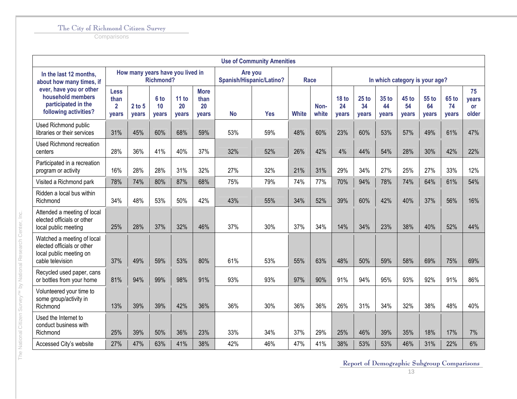**Comparisons** 

The National Citizen Survey™ by National Research Center, Inc.

The National Citizen Survey<sup>TM</sup> by National Research Center, Inc.

|                                                                                                         |                                                |                 |                     |                                  |                                    |           | <b>Use of Community Amenities</b>   |              |               |                                 |                        |                      |                      |                                |                             |                            |
|---------------------------------------------------------------------------------------------------------|------------------------------------------------|-----------------|---------------------|----------------------------------|------------------------------------|-----------|-------------------------------------|--------------|---------------|---------------------------------|------------------------|----------------------|----------------------|--------------------------------|-----------------------------|----------------------------|
| In the last 12 months,<br>about how many times, if                                                      |                                                |                 | <b>Richmond?</b>    | How many years have you lived in |                                    |           | Are you<br>Spanish/Hispanic/Latino? | <b>Race</b>  |               |                                 |                        |                      |                      | In which category is your age? |                             |                            |
| ever, have you or other<br>household members<br>participated in the<br>following activities?            | <b>Less</b><br>than<br>$\overline{2}$<br>years | 2 to 5<br>years | 6 to<br>10<br>years | 11 to<br>20<br>years             | <b>More</b><br>than<br>20<br>years | <b>No</b> | <b>Yes</b>                          | <b>White</b> | Non-<br>white | 18 <sub>to</sub><br>24<br>years | $25$ to<br>34<br>years | 35 to<br>44<br>years | 45 to<br>54<br>years | <b>55 to</b><br>64<br>years    | <b>65 to</b><br>74<br>years | 75<br>years<br>or<br>older |
| Used Richmond public<br>libraries or their services                                                     | 31%                                            | 45%             | 60%                 | 68%                              | 59%                                | 53%       | 59%                                 | 48%          | 60%           | 23%                             | 60%                    | 53%                  | 57%                  | 49%                            | 61%                         | 47%                        |
| <b>Used Richmond recreation</b><br>centers                                                              | 28%                                            | 36%             | 41%                 | 40%                              | 37%                                | 32%       | 52%                                 | 26%          | 42%           | 4%                              | 44%                    | 54%                  | 28%                  | 30%                            | 42%                         | 22%                        |
| Participated in a recreation<br>program or activity                                                     | 16%                                            | 28%             | 28%                 | 31%                              | 32%                                | 27%       | 32%                                 | 21%          | 31%           | 29%                             | 34%                    | 27%                  | 25%                  | 27%                            | 33%                         | 12%                        |
| Visited a Richmond park                                                                                 | 78%                                            | 74%             | 80%                 | 87%                              | 68%                                | 75%       | 79%                                 | 74%          | 77%           | 70%                             | 94%                    | 78%                  | 74%                  | 64%                            | 61%                         | 54%                        |
| Ridden a local bus within<br>Richmond                                                                   | 34%                                            | 48%             | 53%                 | 50%                              | 42%                                | 43%       | 55%                                 | 34%          | 52%           | 39%                             | 60%                    | 42%                  | 40%                  | 37%                            | 56%                         | 16%                        |
| Attended a meeting of local<br>elected officials or other<br>local public meeting                       | 25%                                            | 28%             | 37%                 | 32%                              | 46%                                | 37%       | 30%                                 | 37%          | 34%           | 14%                             | 34%                    | 23%                  | 38%                  | 40%                            | 52%                         | 44%                        |
| Watched a meeting of local<br>elected officials or other<br>local public meeting on<br>cable television | 37%                                            | 49%             | 59%                 | 53%                              | 80%                                | 61%       | 53%                                 | 55%          | 63%           | 48%                             | 50%                    | 59%                  | 58%                  | 69%                            | 75%                         | 69%                        |
| Recycled used paper, cans<br>or bottles from your home                                                  | 81%                                            | 94%             | 99%                 | 98%                              | 91%                                | 93%       | 93%                                 | 97%          | 90%           | 91%                             | 94%                    | 95%                  | 93%                  | 92%                            | 91%                         | 86%                        |
| Volunteered your time to<br>some group/activity in<br>Richmond                                          | 13%                                            | 39%             | 39%                 | 42%                              | 36%                                | 36%       | 30%                                 | 36%          | 36%           | 26%                             | 31%                    | 34%                  | 32%                  | 38%                            | 48%                         | 40%                        |
| Used the Internet to<br>conduct business with<br>Richmond                                               | 25%                                            | 39%             | 50%                 | 36%                              | 23%                                | 33%       | 34%                                 | 37%          | 29%           | 25%                             | 46%                    | 39%                  | 35%                  | 18%                            | 17%                         | 7%                         |
| Accessed City's website                                                                                 | 27%                                            | 47%             | 63%                 | 41%                              | 38%                                | 42%       | 46%                                 | 47%          | 41%           | 38%                             | 53%                    | 53%                  | 46%                  | 31%                            | 22%                         | 6%                         |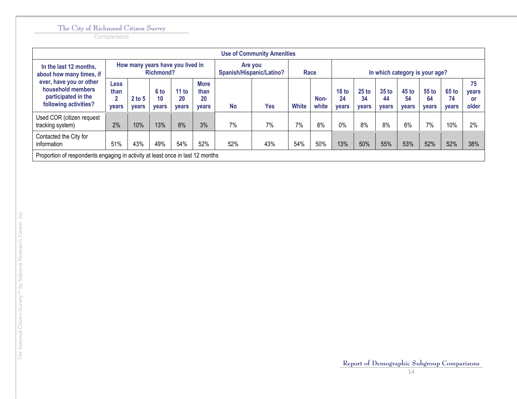**Comparisons** 

|                                                                                              |                                                     |                                  |                            |                             |                                           |           | <b>Use of Community Amenities</b>   |              |               |                                        |                               |                                    |                                        |                             |                             |                            |
|----------------------------------------------------------------------------------------------|-----------------------------------------------------|----------------------------------|----------------------------|-----------------------------|-------------------------------------------|-----------|-------------------------------------|--------------|---------------|----------------------------------------|-------------------------------|------------------------------------|----------------------------------------|-----------------------------|-----------------------------|----------------------------|
| In the last 12 months,<br>about how many times, if                                           |                                                     | How many years have you lived in | <b>Richmond?</b>           |                             |                                           |           | Are you<br>Spanish/Hispanic/Latino? |              | Race          |                                        |                               |                                    | In which category is your age?         |                             |                             |                            |
| ever, have you or other<br>household members<br>participated in the<br>following activities? | <b>Less</b><br>than<br>$\mathbf{2}$<br><b>vears</b> | $2$ to 5<br><b>vears</b>         | 6 to<br>10<br><b>vears</b> | 11 to<br>20<br><b>vears</b> | <b>More</b><br>than<br>20<br><b>vears</b> | <b>No</b> | Yes                                 | <b>White</b> | Non-<br>white | 18 <sub>to</sub><br>24<br><b>vears</b> | $25$ to<br>34<br><b>vears</b> | <b>35 to</b><br>44<br><b>vears</b> | 45 <sub>to</sub><br>54<br><b>vears</b> | 55 to<br>64<br><b>vears</b> | 65 to<br>74<br><b>vears</b> | 75<br>years<br>or<br>older |
| Used COR (citizen request<br>tracking system)                                                | 2%                                                  | 10%                              | 13%                        | 8%                          | 3%                                        | 7%        | 7%                                  | 7%           | 8%            | $0\%$                                  | 8%                            | 8%                                 | 6%                                     | 7%                          | 10%                         | 2%                         |
| Contacted the City for<br>information                                                        | 51%                                                 | 43%                              | 49%                        | 54%                         | 52%                                       | 52%       | 43%                                 | 54%          | 50%           | 13%                                    | 50%                           | 55%                                | 53%                                    | 52%                         | 52%                         | 38%                        |
| Proportion of respondents engaging in activity at least once in last 12 months               |                                                     |                                  |                            |                             |                                           |           |                                     |              |               |                                        |                               |                                    |                                        |                             |                             |                            |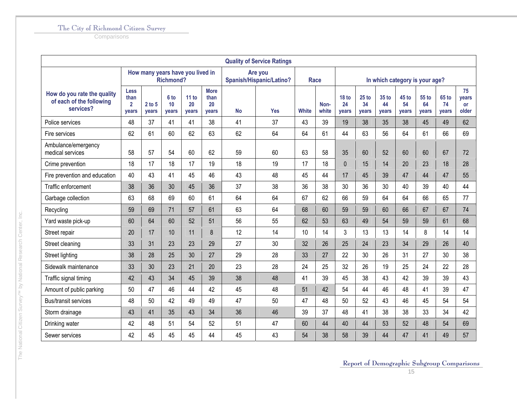**Comparisons** 

|                                                                      |                                                |                                  |                     |                      |                                    |           | <b>Quality of Service Ratings</b>   |       |               |                                 |                      |                                |                      |                      |                      |                                   |
|----------------------------------------------------------------------|------------------------------------------------|----------------------------------|---------------------|----------------------|------------------------------------|-----------|-------------------------------------|-------|---------------|---------------------------------|----------------------|--------------------------------|----------------------|----------------------|----------------------|-----------------------------------|
|                                                                      |                                                | How many years have you lived in | <b>Richmond?</b>    |                      |                                    |           | Are you<br>Spanish/Hispanic/Latino? | Race  |               |                                 |                      | In which category is your age? |                      |                      |                      |                                   |
| How do you rate the quality<br>of each of the following<br>services? | <b>Less</b><br>than<br>$\overline{2}$<br>years | $2$ to $5$<br>years              | 6 to<br>10<br>years | 11 to<br>20<br>years | <b>More</b><br>than<br>20<br>years | <b>No</b> | <b>Yes</b>                          | White | Non-<br>white | 18 <sub>to</sub><br>24<br>years | 25 to<br>34<br>years | 35 to<br>44<br>years           | 45 to<br>54<br>years | 55 to<br>64<br>years | 65 to<br>74<br>years | 75<br>years<br><b>or</b><br>older |
| Police services                                                      | 48                                             | 37                               | 41                  | 41                   | 38                                 | 41        | 37                                  | 43    | 39            | 19                              | 38                   | 35                             | 38                   | 45                   | 49                   | 62                                |
| Fire services                                                        | 62                                             | 61                               | 60                  | 62                   | 63                                 | 62        | 64                                  | 64    | 61            | 44                              | 63                   | 56                             | 64                   | 61                   | 66                   | 69                                |
| Ambulance/emergency<br>medical services                              | 58                                             | 57                               | 54                  | 60                   | 62                                 | 59        | 60                                  | 63    | 58            | 35                              | 60                   | 52                             | 60                   | 60                   | 67                   | 72                                |
| Crime prevention                                                     | 18                                             | 17                               | 18                  | 17                   | 19                                 | 18        | 19                                  | 17    | 18            | $\mathbf 0$                     | 15                   | 14                             | 20                   | 23                   | 18                   | 28                                |
| Fire prevention and education                                        | 40                                             | 43                               | 41                  | 45                   | 46                                 | 43        | 48                                  | 45    | 44            | 17                              | 45                   | 39                             | 47                   | 44                   | 47                   | 55                                |
| Traffic enforcement                                                  | 38                                             | 36                               | 30                  | 45                   | 36                                 | 37        | 38                                  | 36    | 38            | 30                              | 36                   | 30                             | 40                   | 39                   | 40                   | 44                                |
| Garbage collection                                                   | 63                                             | 68                               | 69                  | 60                   | 61                                 | 64        | 64                                  | 67    | 62            | 66                              | 59                   | 64                             | 64                   | 66                   | 65                   | 77                                |
| Recycling                                                            | 59                                             | 69                               | 71                  | 57                   | 61                                 | 63        | 64                                  | 68    | 60            | 59                              | 59                   | 60                             | 66                   | 67                   | 67                   | 74                                |
| Yard waste pick-up                                                   | 60                                             | 64                               | 60                  | 52                   | 51                                 | 56        | 55                                  | 62    | 53            | 63                              | 49                   | 54                             | 59                   | 59                   | 61                   | 68                                |
| Street repair                                                        | 20                                             | 17                               | 10                  | 11                   | 8                                  | 12        | 14                                  | 10    | 14            | 3                               | 13                   | 13                             | 14                   | 8                    | 14                   | 14                                |
| Street cleaning                                                      | 33                                             | 31                               | 23                  | 23                   | 29                                 | 27        | 30                                  | 32    | 26            | 25                              | 24                   | 23                             | 34                   | 29                   | 26                   | 40                                |
| Street lighting                                                      | 38                                             | 28                               | 25                  | 30                   | 27                                 | 29        | 28                                  | 33    | 27            | 22                              | 30                   | 26                             | 31                   | 27                   | 30                   | 38                                |
| Sidewalk maintenance                                                 | 33                                             | 30                               | 23                  | 21                   | 20                                 | 23        | 28                                  | 24    | 25            | 32                              | 26                   | 19                             | 25                   | 24                   | 22                   | 28                                |
| Traffic signal timing                                                | 42                                             | 43                               | 34                  | 45                   | 39                                 | 38        | 48                                  | 41    | 39            | 45                              | 38                   | 43                             | 42                   | 39                   | 39                   | 43                                |
| Amount of public parking                                             | 50                                             | 47                               | 46                  | 44                   | 42                                 | 45        | 48                                  | 51    | 42            | 54                              | 44                   | 46                             | 48                   | 41                   | 39                   | 47                                |
| <b>Bus/transit services</b>                                          | 48                                             | 50                               | 42                  | 49                   | 49                                 | 47        | 50                                  | 47    | 48            | 50                              | 52                   | 43                             | 46                   | 45                   | 54                   | 54                                |
| Storm drainage                                                       | 43                                             | 41                               | 35                  | 43                   | 34                                 | 36        | 46                                  | 39    | 37            | 48                              | 41                   | 38                             | 38                   | 33                   | 34                   | 42                                |
| Drinking water                                                       | 42                                             | 48                               | 51                  | 54                   | 52                                 | 51        | 47                                  | 60    | 44            | 40                              | 44                   | 53                             | 52                   | 48                   | 54                   | 69                                |
| Sewer services                                                       | 42                                             | 45                               | 45                  | 45                   | 44                                 | 45        | 43                                  | 54    | 38            | 58                              | 39                   | 44                             | 47                   | 41                   | 49                   | 57                                |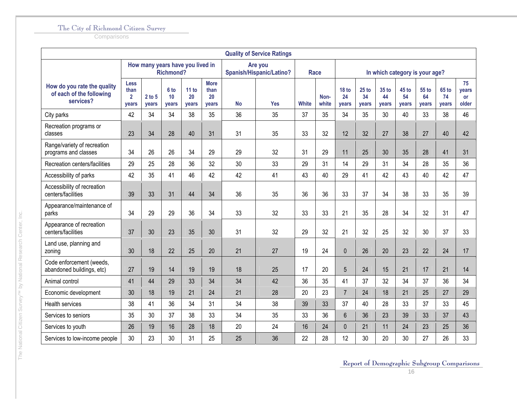**Comparisons** 

|                                                                      |                                              |                 |                     |                                  |                                    |    | <b>Quality of Service Ratings</b>   |              |               |                             |                        |                                |                      |                      |                      |                                   |
|----------------------------------------------------------------------|----------------------------------------------|-----------------|---------------------|----------------------------------|------------------------------------|----|-------------------------------------|--------------|---------------|-----------------------------|------------------------|--------------------------------|----------------------|----------------------|----------------------|-----------------------------------|
|                                                                      |                                              |                 | <b>Richmond?</b>    | How many years have you lived in |                                    |    | Are you<br>Spanish/Hispanic/Latino? |              | <b>Race</b>   |                             |                        | In which category is your age? |                      |                      |                      |                                   |
| How do you rate the quality<br>of each of the following<br>services? | <b>Less</b><br>than<br>$\mathbf{2}$<br>years | 2 to 5<br>years | 6 to<br>10<br>years | 11 to<br>20<br>years             | <b>More</b><br>than<br>20<br>years | No | <b>Yes</b>                          | <b>White</b> | Non-<br>white | <b>18 to</b><br>24<br>years | $25$ to<br>34<br>years | 35 to<br>44<br>years           | 45 to<br>54<br>years | 55 to<br>64<br>years | 65 to<br>74<br>years | 75<br>years<br><b>or</b><br>older |
| City parks                                                           | 42                                           | 34              | 34                  | 38                               | 35                                 | 36 | 35                                  | 37           | 35            | 34                          | 35                     | 30                             | 40                   | 33                   | 38                   | 46                                |
| Recreation programs or<br>classes                                    | 23                                           | 34              | 28                  | 40                               | 31                                 | 31 | 35                                  | 33           | 32            | 12                          | 32                     | 27                             | 38                   | 27                   | 40                   | 42                                |
| Range/variety of recreation<br>programs and classes                  | 34                                           | 26              | 26                  | 34                               | 29                                 | 29 | 32                                  | 31           | 29            | 11                          | 25                     | 30                             | 35                   | 28                   | 41                   | 31                                |
| Recreation centers/facilities                                        | 29                                           | 25              | 28                  | 36                               | 32                                 | 30 | 33                                  | 29           | 31            | 14                          | 29                     | 31                             | 34                   | 28                   | 35                   | 36                                |
| Accessibility of parks                                               | 42                                           | 35              | 41                  | 46                               | 42                                 | 42 | 41                                  | 43           | 40            | 29                          | 41                     | 42                             | 43                   | 40                   | 42                   | 47                                |
| Accessibility of recreation<br>centers/facilities                    | 39                                           | 33              | 31                  | 44                               | 34                                 | 36 | 35                                  | 36           | 36            | 33                          | 37                     | 34                             | 38                   | 33                   | 35                   | 39                                |
| Appearance/maintenance of<br>parks                                   | 34                                           | 29              | 29                  | 36                               | 34                                 | 33 | 32                                  | 33           | 33            | 21                          | 35                     | 28                             | 34                   | 32                   | 31                   | 47                                |
| Appearance of recreation<br>centers/facilities                       | 37                                           | 30              | 23                  | 35                               | 30                                 | 31 | 32                                  | 29           | 32            | 21                          | 32                     | 25                             | 32                   | 30                   | 37                   | 33                                |
| Land use, planning and<br>zoning                                     | 30                                           | 18              | 22                  | 25                               | 20                                 | 21 | 27                                  | 19           | 24            | $\pmb{0}$                   | 26                     | 20                             | 23                   | 22                   | 24                   | 17                                |
| Code enforcement (weeds,<br>abandoned buildings, etc)                | 27                                           | 19              | 14                  | 19                               | 19                                 | 18 | 25                                  | 17           | 20            | 5                           | 24                     | 15                             | 21                   | 17                   | 21                   | 14                                |
| Animal control                                                       | 41                                           | 44              | 29                  | 33                               | 34                                 | 34 | 42                                  | 36           | 35            | 41                          | 37                     | 32                             | 34                   | 37                   | 36                   | 34                                |
| Economic development                                                 | 30                                           | 18              | 19                  | 21                               | 24                                 | 21 | 28                                  | 20           | 23            | $\overline{7}$              | 24                     | 18                             | 21                   | 25                   | 27                   | 29                                |
| <b>Health services</b>                                               | 38                                           | 41              | 36                  | 34                               | 31                                 | 34 | 38                                  | 39           | 33            | 37                          | 40                     | 28                             | 33                   | 37                   | 33                   | 45                                |
| Services to seniors                                                  | 35                                           | 30              | 37                  | 38                               | 33                                 | 34 | 35                                  | 33           | 36            | $6\phantom{1}$              | 36                     | 23                             | 39                   | 33                   | 37                   | 43                                |
| Services to youth                                                    | 26                                           | 19              | 16                  | 28                               | 18                                 | 20 | 24                                  | 16           | 24            | $\mathbf 0$                 | 21                     | 11                             | 24                   | 23                   | 25                   | 36                                |
| Services to low-income people                                        | 30                                           | 23              | 30                  | 31                               | 25                                 | 25 | 36                                  | 22           | 28            | 12                          | 30                     | 20                             | 30                   | 27                   | 26                   | 33                                |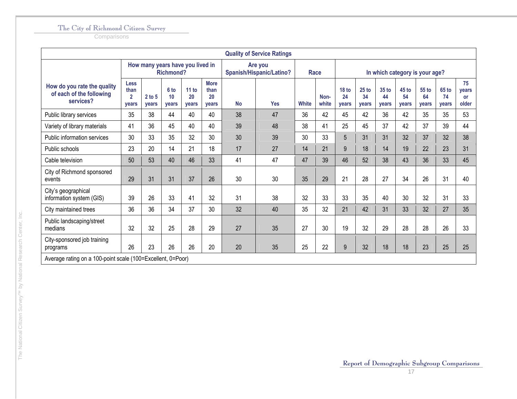|                                                                      |                                                       |                          |                                       |                                  |                                           |           | <b>Quality of Service Ratings</b>   |              |               |                                 |                                 |                             |                                |                      |                      |                                          |
|----------------------------------------------------------------------|-------------------------------------------------------|--------------------------|---------------------------------------|----------------------------------|-------------------------------------------|-----------|-------------------------------------|--------------|---------------|---------------------------------|---------------------------------|-----------------------------|--------------------------------|----------------------|----------------------|------------------------------------------|
|                                                                      |                                                       |                          | <b>Richmond?</b>                      | How many years have you lived in |                                           |           | Are you<br>Spanish/Hispanic/Latino? | Race         |               |                                 |                                 |                             | In which category is your age? |                      |                      |                                          |
| How do you rate the quality<br>of each of the following<br>services? | <b>Less</b><br>than<br>$\overline{2}$<br><b>vears</b> | $2$ to 5<br><b>vears</b> | 6 <sub>to</sub><br>10<br><b>vears</b> | 11 to<br>20<br><b>vears</b>      | <b>More</b><br>than<br>20<br><b>vears</b> | <b>No</b> | <b>Yes</b>                          | <b>White</b> | Non-<br>white | 18 <sub>to</sub><br>24<br>vears | 25 <sub>to</sub><br>34<br>vears | 35 to<br>44<br><b>vears</b> | 45 to<br>54<br>vears           | 55 to<br>64<br>vears | 65 to<br>74<br>years | 75<br><b>vears</b><br><b>or</b><br>older |
| Public library services                                              | 35                                                    | 38                       | 44                                    | 40                               | 40                                        | 38        | 47                                  | 36           | 42            | 45                              | 42                              | 36                          | 42                             | 35                   | 35                   | 53                                       |
| Variety of library materials                                         | 41                                                    | 36                       | 45                                    | 40                               | 40                                        | 39        | 48                                  | 38           | 41            | 25                              | 45                              | 37                          | 42                             | 37                   | 39                   | 44                                       |
| Public information services                                          | 30                                                    | 33                       | 35                                    | 32                               | 30                                        | 30        | 39                                  | 30           | 33            | 5                               | 31                              | 31                          | 32                             | 37                   | 32                   | 38                                       |
| Public schools                                                       | 23                                                    | 20                       | 14                                    | 21                               | 18                                        | 17        | 27                                  | 14           | 21            | 9                               | 18                              | 14                          | 19                             | 22                   | 23                   | 31                                       |
| Cable television                                                     | 50                                                    | 53                       | 40                                    | 46                               | 33                                        | 41        | 47                                  | 47           | 39            | 46                              | 52                              | 38                          | 43                             | 36                   | 33                   | 45                                       |
| City of Richmond sponsored<br>events                                 | 29                                                    | 31                       | 31                                    | 37                               | 26                                        | 30        | 30                                  | 35           | 29            | 21                              | 28                              | 27                          | 34                             | 26                   | 31                   | 40                                       |
| City's geographical<br>information system (GIS)                      | 39                                                    | 26                       | 33                                    | 41                               | 32                                        | 31        | 38                                  | 32           | 33            | 33                              | 35                              | 40                          | 30                             | 32                   | 31                   | 33                                       |
| City maintained trees                                                | 36                                                    | 36                       | 34                                    | 37                               | 30                                        | 32        | 40                                  | 35           | 32            | 21                              | 42                              | 31                          | 33                             | 32                   | 27                   | 35                                       |
| Public landscaping/street<br>medians                                 | 32                                                    | 32                       | 25                                    | 28                               | 29                                        | 27        | 35                                  | 27           | 30            | 19                              | 32                              | 29                          | 28                             | 28                   | 26                   | 33                                       |
| City-sponsored job training<br>programs                              | 26                                                    | 23                       | 26                                    | 26                               | 20                                        | 20        | 35                                  | 25           | 22            | 9                               | 32                              | 18                          | 18                             | 23                   | 25                   | 25                                       |
| Average rating on a 100-point scale (100=Excellent, 0=Poor)          |                                                       |                          |                                       |                                  |                                           |           |                                     |              |               |                                 |                                 |                             |                                |                      |                      |                                          |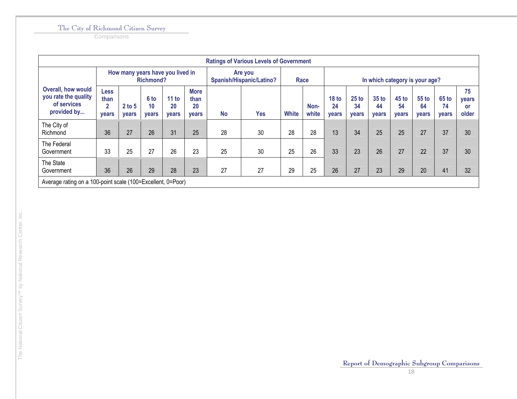|                                                                                 |                            |                                  |                     |                      |                                    |           | <b>Ratings of Various Levels of Government</b> |              |               |                             |                                 |                      |                                 |                      |                             |                                   |
|---------------------------------------------------------------------------------|----------------------------|----------------------------------|---------------------|----------------------|------------------------------------|-----------|------------------------------------------------|--------------|---------------|-----------------------------|---------------------------------|----------------------|---------------------------------|----------------------|-----------------------------|-----------------------------------|
|                                                                                 |                            | How many years have you lived in | <b>Richmond?</b>    |                      |                                    |           | Are you<br>Spanish/Hispanic/Latino?            |              | Race          |                             |                                 |                      | In which category is your age?  |                      |                             |                                   |
| <b>Overall, how would</b><br>you rate the quality<br>of services<br>provided by | Less<br>than<br>2<br>years | $2$ to 5<br>years                | 6 to<br>10<br>years | 11 to<br>20<br>years | <b>More</b><br>than<br>20<br>years | <b>No</b> | <b>Yes</b>                                     | <b>White</b> | Non-<br>white | <b>18 to</b><br>24<br>years | 25 <sub>to</sub><br>34<br>years | 35 to<br>44<br>years | 45 <sub>to</sub><br>54<br>years | 55 to<br>64<br>years | <b>65 to</b><br>74<br>years | 75<br>years<br><b>or</b><br>older |
| The City of<br>Richmond                                                         | 36                         | 27                               | 26                  | 31                   | 25                                 | 28        | 30                                             | 28           | 28            | 13                          | 34                              | 25                   | 25                              | 27                   | 37                          | 30                                |
| The Federal<br>Government                                                       | 33                         | 25                               | 27                  | 26                   | 23                                 | 25        | 30                                             | 25           | 26            | 33                          | 23                              | 26                   | 27                              | 22                   | 37                          | 30                                |
| The State<br>Government                                                         | 36                         | 26                               | 29                  | 28                   | 23                                 | 27        | 27                                             | 29           | 25            | 26                          | 27                              | 23                   | 29                              | 20                   | 41                          | 32                                |
| Average rating on a 100-point scale (100=Excellent, 0=Poor)                     |                            |                                  |                     |                      |                                    |           |                                                |              |               |                             |                                 |                      |                                 |                      |                             |                                   |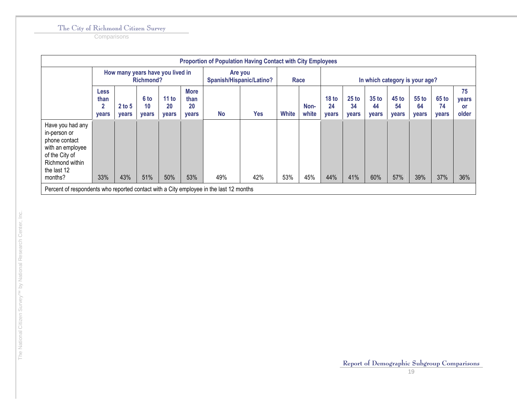**Comparisons** 

|                                                                                                                                      |                                              |                   |                                  |                                  |                                    |           | <b>Proportion of Population Having Contact with City Employees</b> |              |               |                                 |                        |                                 |                                |                        |                      |                            |
|--------------------------------------------------------------------------------------------------------------------------------------|----------------------------------------------|-------------------|----------------------------------|----------------------------------|------------------------------------|-----------|--------------------------------------------------------------------|--------------|---------------|---------------------------------|------------------------|---------------------------------|--------------------------------|------------------------|----------------------|----------------------------|
|                                                                                                                                      |                                              |                   | Richmond?                        | How many years have you lived in |                                    |           | Are you<br>Spanish/Hispanic/Latino?                                | Race         |               |                                 |                        |                                 | In which category is your age? |                        |                      |                            |
|                                                                                                                                      | <b>Less</b><br>than<br>$\mathbf{2}$<br>years | $2$ to 5<br>years | 6 to<br>10 <sup>°</sup><br>years | 11 to<br>20<br>years             | <b>More</b><br>than<br>20<br>years | <b>No</b> | <b>Yes</b>                                                         | <b>White</b> | Non-<br>white | 18 <sub>to</sub><br>24<br>years | $25$ to<br>34<br>years | 35 <sub>to</sub><br>44<br>years | $45$ to<br>54<br>years         | $55$ to<br>64<br>years | 65 to<br>74<br>years | 75<br>years<br>or<br>older |
| Have you had any<br>in-person or<br>phone contact<br>with an employee<br>of the City of<br>Richmond within<br>the last 12<br>months? | 33%                                          | 43%               | 51%                              | 50%                              | 53%                                | 49%       | 42%                                                                | 53%          | 45%           | 44%                             | 41%                    | 60%                             | 57%                            | 39%                    | 37%                  | 36%                        |
| Percent of respondents who reported contact with a City employee in the last 12 months                                               |                                              |                   |                                  |                                  |                                    |           |                                                                    |              |               |                                 |                        |                                 |                                |                        |                      |                            |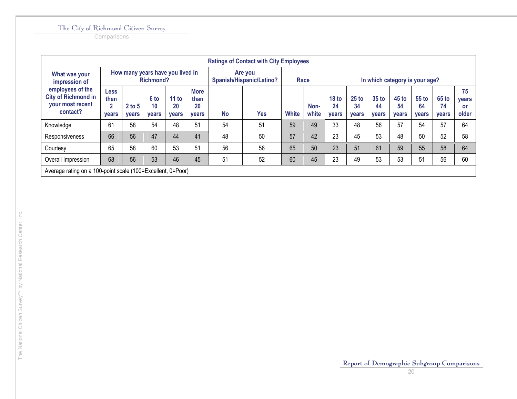|                                                                                |                                                       |                          |                            |                                  |                                           |           | <b>Ratings of Contact with City Employees</b> |              |               |                                 |                               |                             |                                    |                      |                             |                            |
|--------------------------------------------------------------------------------|-------------------------------------------------------|--------------------------|----------------------------|----------------------------------|-------------------------------------------|-----------|-----------------------------------------------|--------------|---------------|---------------------------------|-------------------------------|-----------------------------|------------------------------------|----------------------|-----------------------------|----------------------------|
| What was your<br>impression of                                                 |                                                       |                          | <b>Richmond?</b>           | How many years have you lived in |                                           |           | Are you<br>Spanish/Hispanic/Latino?           |              | Race          |                                 |                               |                             | In which category is your age?     |                      |                             |                            |
| employees of the<br><b>City of Richmond in</b><br>your most recent<br>contact? | <b>Less</b><br>than<br>$\overline{2}$<br><b>vears</b> | $2$ to 5<br><b>vears</b> | 6 to<br>10<br><b>vears</b> | 11 to<br>20<br><b>vears</b>      | <b>More</b><br>than<br>20<br><b>vears</b> | <b>No</b> | Yes                                           | <b>White</b> | Non-<br>white | 18 <sub>to</sub><br>24<br>vears | $25$ to<br>34<br><b>vears</b> | 35 to<br>44<br><b>vears</b> | <b>45 to</b><br>54<br><b>vears</b> | 55 to<br>64<br>vears | 65 to<br>74<br><b>vears</b> | 75<br>years<br>or<br>older |
| Knowledge                                                                      | 61                                                    | 58                       | 54                         | 48                               | 51                                        | 54        | 51                                            | 59           | 49            | 33                              | 48                            | 56                          | 57                                 | 54                   | 57                          | 64                         |
| Responsiveness                                                                 | 66                                                    | 56                       | 47                         | 44                               | 41                                        | 48        | 50                                            | 57           | 42            | 23                              | 45                            | 53                          | 48                                 | 50                   | 52                          | 58                         |
| Courtesy                                                                       | 65                                                    | 58                       | 60                         | 53                               | 51                                        | 56        | 56                                            | 65           | 50            | 23                              | 51                            | 61                          | 59                                 | 55                   | 58                          | 64                         |
| Overall Impression                                                             | 68                                                    | 56                       | 53                         | 46                               | 45                                        | 51        | 52                                            | 60           | 45            | 23                              | 49                            | 53                          | 53                                 | 51                   | 56                          | 60                         |
| Average rating on a 100-point scale (100=Excellent, 0=Poor)                    |                                                       |                          |                            |                                  |                                           |           |                                               |              |               |                                 |                               |                             |                                    |                      |                             |                            |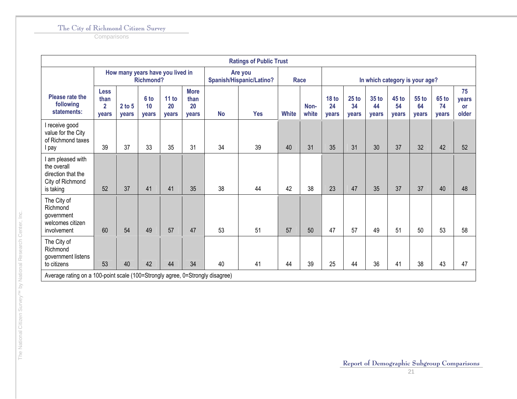**Comparisons** 

|                                                                                         |                                                |                     |                     |                                  |                                    |           | <b>Ratings of Public Trust</b>             |              |               |                                 |                        |                                 |                      |                                |                             |                                   |
|-----------------------------------------------------------------------------------------|------------------------------------------------|---------------------|---------------------|----------------------------------|------------------------------------|-----------|--------------------------------------------|--------------|---------------|---------------------------------|------------------------|---------------------------------|----------------------|--------------------------------|-----------------------------|-----------------------------------|
|                                                                                         |                                                |                     | <b>Richmond?</b>    | How many years have you lived in |                                    |           | Are you<br><b>Spanish/Hispanic/Latino?</b> |              | Race          |                                 |                        |                                 |                      | In which category is your age? |                             |                                   |
| Please rate the<br>following<br>statements:                                             | <b>Less</b><br>than<br>$\overline{2}$<br>years | $2$ to $5$<br>years | 6 to<br>10<br>years | 11 to<br>20<br>years             | <b>More</b><br>than<br>20<br>vears | <b>No</b> | <b>Yes</b>                                 | <b>White</b> | Non-<br>white | 18 <sub>to</sub><br>24<br>years | $25$ to<br>34<br>years | 35 <sub>to</sub><br>44<br>years | 45 to<br>54<br>years | <b>55 to</b><br>64<br>years    | <b>65 to</b><br>74<br>years | 75<br>vears<br><b>or</b><br>older |
| I receive good<br>value for the City<br>of Richmond taxes<br>I pay                      | 39                                             | 37                  | 33                  | 35                               | 31                                 | 34        | 39                                         | 40           | 31            | 35                              | 31                     | 30                              | 37                   | 32                             | 42                          | 52                                |
| I am pleased with<br>the overall<br>direction that the<br>City of Richmond<br>is taking | 52                                             | 37                  | 41                  | 41                               | 35                                 | 38        | 44                                         | 42           | 38            | 23                              | 47                     | 35                              | 37                   | 37                             | 40                          | 48                                |
| The City of<br>Richmond<br>government<br>welcomes citizen<br>involvement                | 60                                             | 54                  | 49                  | 57                               | 47                                 | 53        | 51                                         | 57           | 50            | 47                              | 57                     | 49                              | 51                   | 50                             | 53                          | 58                                |
| The City of<br>Richmond<br>government listens<br>to citizens                            | 53                                             | 40                  | 42                  | 44                               | 34                                 | 40        | 41                                         | 44           | 39            | 25                              | 44                     | 36                              | 41                   | 38                             | 43                          | 47                                |
| Average rating on a 100-point scale (100=Strongly agree, 0=Strongly disagree)           |                                                |                     |                     |                                  |                                    |           |                                            |              |               |                                 |                        |                                 |                      |                                |                             |                                   |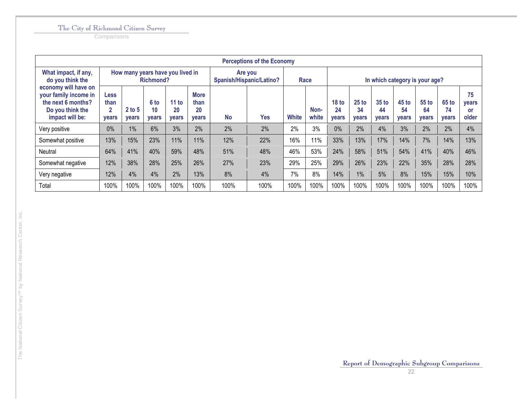|                                                                                                            |                                              |                   |                     |                                  |                                           |           | <b>Perceptions of the Economy</b>   |              |               |                                 |                               |                                 |                               |                                |                               |                                   |
|------------------------------------------------------------------------------------------------------------|----------------------------------------------|-------------------|---------------------|----------------------------------|-------------------------------------------|-----------|-------------------------------------|--------------|---------------|---------------------------------|-------------------------------|---------------------------------|-------------------------------|--------------------------------|-------------------------------|-----------------------------------|
| What impact, if any,<br>do you think the                                                                   |                                              |                   | <b>Richmond?</b>    | How many years have you lived in |                                           |           | Are you<br>Spanish/Hispanic/Latino? |              | Race          |                                 |                               |                                 |                               | In which category is your age? |                               |                                   |
| economy will have on<br>your family income in<br>the next 6 months?<br>Do you think the<br>impact will be: | <b>Less</b><br>than<br>$\mathbf{2}$<br>years | $2$ to 5<br>years | 6 to<br>10<br>years | 11 to<br>20<br><b>vears</b>      | <b>More</b><br>than<br>20<br><b>vears</b> | <b>No</b> | Yes                                 | <b>White</b> | Non-<br>white | 18 <sub>to</sub><br>24<br>years | $25$ to<br>34<br><b>vears</b> | 35 <sub>to</sub><br>44<br>years | $45$ to<br>54<br><b>vears</b> | 55 to<br>64<br>years           | $65$ to<br>74<br><b>vears</b> | 75<br>years<br><b>or</b><br>older |
| Very positive                                                                                              | 0%                                           | 1%                | 6%                  | 3%                               | 2%                                        | 2%        | 2%                                  | 2%           | 3%            | 0%                              | 2%                            | 4%                              | 3%                            | 2%                             | 2%                            | 4%                                |
| Somewhat positive                                                                                          | 13%                                          | 15%               | 23%                 | 11%                              | 11%                                       | 12%       | 22%                                 | 16%          | 11%           | 33%                             | 13%                           | 17%                             | 14%                           | 7%                             | 14%                           | 13%                               |
| Neutral                                                                                                    | 64%                                          | 41%               | 40%                 | 59%                              | 48%                                       | 51%       | 48%                                 | 46%          | 53%           | 24%                             | 58%                           | 51%                             | 54%                           | 41%                            | 40%                           | 46%                               |
| Somewhat negative                                                                                          | 12%                                          | 38%               | 28%                 | 25%                              | 26%                                       | 27%       | 23%                                 | 29%          | 25%           | 29%                             | 26%                           | 23%                             | 22%                           | 35%                            | 28%                           | 28%                               |
| Very negative                                                                                              | 12%                                          | 4%                | 4%                  | 2%                               | 13%                                       | 8%        | 4%                                  | 7%           | 8%            | 14%                             | 1%                            | 5%                              | 8%                            | 15%                            | 15%                           | 10%                               |
| Total                                                                                                      | 100%                                         | 100%              | 100%                | 100%                             | 100%                                      | 100%      | 100%                                | 100%         | 100%          | 100%                            | 100%                          | 100%                            | 100%                          | 100%                           | 100%                          | 100%                              |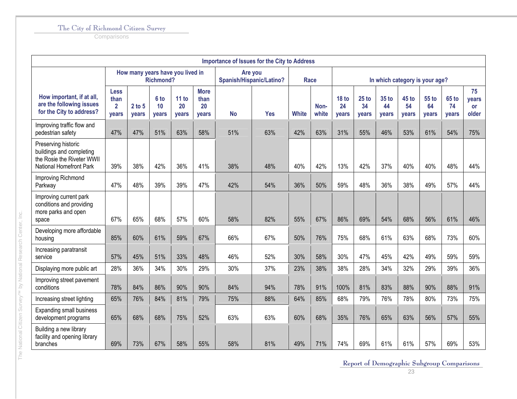**Comparisons** 

| <b>Importance of Issues for the City to Address</b>                                                      |                                                      |                            |                            |                             |                                    |                                     |            |              |               |                                |                               |                             |                      |                             |                             |                                   |
|----------------------------------------------------------------------------------------------------------|------------------------------------------------------|----------------------------|----------------------------|-----------------------------|------------------------------------|-------------------------------------|------------|--------------|---------------|--------------------------------|-------------------------------|-----------------------------|----------------------|-----------------------------|-----------------------------|-----------------------------------|
|                                                                                                          | How many years have you lived in<br><b>Richmond?</b> |                            |                            |                             |                                    | Are you<br>Spanish/Hispanic/Latino? |            | Race         |               | In which category is your age? |                               |                             |                      |                             |                             |                                   |
| How important, if at all,<br>are the following issues<br>for the City to address?                        | <b>Less</b><br>than<br>$\overline{2}$<br>vears       | $2$ to $5$<br><b>vears</b> | 6 to<br>10<br><b>vears</b> | 11 to<br>20<br><b>vears</b> | <b>More</b><br>than<br>20<br>years | <b>No</b>                           | <b>Yes</b> | <b>White</b> | Non-<br>white | <b>18 to</b><br>24<br>vears    | $25$ to<br>34<br><b>vears</b> | 35 to<br>44<br><b>vears</b> | 45 to<br>54<br>years | 55 to<br>64<br><b>vears</b> | 65 to<br>74<br><b>vears</b> | 75<br>years<br><b>or</b><br>older |
| Improving traffic flow and<br>pedestrian safety                                                          | 47%                                                  | 47%                        | 51%                        | 63%                         | 58%                                | 51%                                 | 63%        | 42%          | 63%           | 31%                            | 55%                           | 46%                         | 53%                  | 61%                         | 54%                         | 75%                               |
| Preserving historic<br>buildings and completing<br>the Rosie the Riveter WWII<br>National Homefront Park | 39%                                                  | 38%                        | 42%                        | 36%                         | 41%                                | 38%                                 | 48%        | 40%          | 42%           | 13%                            | 42%                           | 37%                         | 40%                  | 40%                         | 48%                         | 44%                               |
| Improving Richmond<br>Parkway                                                                            | 47%                                                  | 48%                        | 39%                        | 39%                         | 47%                                | 42%                                 | 54%        | 36%          | 50%           | 59%                            | 48%                           | 36%                         | 38%                  | 49%                         | 57%                         | 44%                               |
| Improving current park<br>conditions and providing<br>more parks and open<br>space                       | 67%                                                  | 65%                        | 68%                        | 57%                         | 60%                                | 58%                                 | 82%        | 55%          | 67%           | 86%                            | 69%                           | 54%                         | 68%                  | 56%                         | 61%                         | 46%                               |
| Developing more affordable<br>housing                                                                    | 85%                                                  | 60%                        | 61%                        | 59%                         | 67%                                | 66%                                 | 67%        | 50%          | 76%           | 75%                            | 68%                           | 61%                         | 63%                  | 68%                         | 73%                         | 60%                               |
| Increasing paratransit<br>service                                                                        | 57%                                                  | 45%                        | 51%                        | 33%                         | 48%                                | 46%                                 | 52%        | 30%          | 58%           | 30%                            | 47%                           | 45%                         | 42%                  | 49%                         | 59%                         | 59%                               |
| Displaying more public art                                                                               | 28%                                                  | 36%                        | 34%                        | 30%                         | 29%                                | 30%                                 | 37%        | 23%          | 38%           | 38%                            | 28%                           | 34%                         | 32%                  | 29%                         | 39%                         | 36%                               |
| Improving street pavement<br>conditions                                                                  | 78%                                                  | 84%                        | 86%                        | 90%                         | 90%                                | 84%                                 | 94%        | 78%          | 91%           | 100%                           | 81%                           | 83%                         | 88%                  | 90%                         | 88%                         | 91%                               |
| Increasing street lighting                                                                               | 65%                                                  | 76%                        | 84%                        | 81%                         | 79%                                | 75%                                 | 88%        | 64%          | 85%           | 68%                            | 79%                           | 76%                         | 78%                  | 80%                         | 73%                         | 75%                               |
| <b>Expanding small business</b><br>development programs                                                  | 65%                                                  | 68%                        | 68%                        | 75%                         | 52%                                | 63%                                 | 63%        | 60%          | 68%           | 35%                            | 76%                           | 65%                         | 63%                  | 56%                         | 57%                         | 55%                               |
| Building a new library<br>facility and opening library<br>branches                                       | 69%                                                  | 73%                        | 67%                        | 58%                         | 55%                                | 58%                                 | 81%        | 49%          | 71%           | 74%                            | 69%                           | 61%                         | 61%                  | 57%                         | 69%                         | 53%                               |